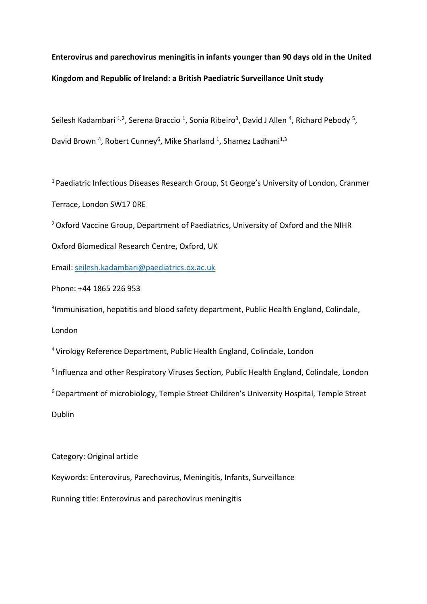# **Enterovirus and parechovirus meningitis in infants younger than 90 days old in the United Kingdom and Republic of Ireland: a British Paediatric Surveillance Unit study**

Seilesh Kadambari <sup>1,2</sup>, Serena Braccio <sup>1</sup>, Sonia Ribeiro<sup>3</sup>, David J Allen <sup>4</sup>, Richard Pebody <sup>5</sup>, David Brown <sup>4</sup>, Robert Cunney<sup>6</sup>, Mike Sharland <sup>1</sup>, Shamez Ladhani<sup>1,3</sup>

<sup>1</sup> Paediatric Infectious Diseases Research Group, St George's University of London, Cranmer Terrace, London SW17 0RE

<sup>2</sup> Oxford Vaccine Group, Department of Paediatrics, University of Oxford and the NIHR

Oxford Biomedical Research Centre, Oxford, UK

Email: seilesh.kadambari@paediatrics.ox.ac.uk

Phone: +44 1865 226 953

<sup>3</sup>Immunisation, hepatitis and blood safety department, Public Health England, Colindale,

London

<sup>4</sup>Virology Reference Department, Public Health England, Colindale, London

<sup>5</sup> Influenza and other Respiratory Viruses Section, Public Health England, Colindale, London

<sup>6</sup> Department of microbiology, Temple Street Children's University Hospital, Temple Street

Dublin

Category: Original article

Keywords: Enterovirus, Parechovirus, Meningitis, Infants, Surveillance

Running title: Enterovirus and parechovirus meningitis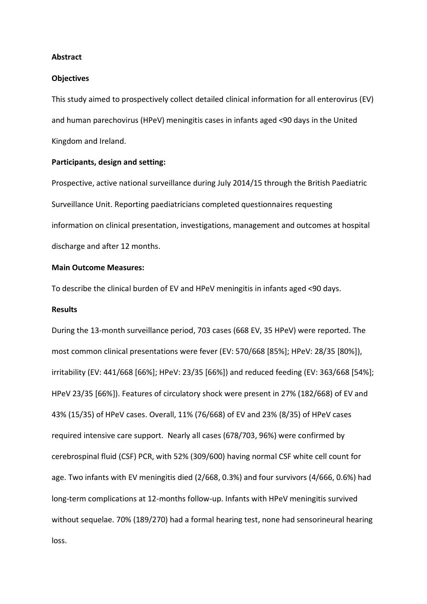#### **Abstract**

#### **Objectives**

This study aimed to prospectively collect detailed clinical information for all enterovirus (EV) and human parechovirus (HPeV) meningitis cases in infants aged <90 days in the United Kingdom and Ireland.

# **Participants, design and setting:**

Prospective, active national surveillance during July 2014/15 through the British Paediatric Surveillance Unit. Reporting paediatricians completed questionnaires requesting information on clinical presentation, investigations, management and outcomes at hospital discharge and after 12 months.

# **Main Outcome Measures:**

To describe the clinical burden of EV and HPeV meningitis in infants aged <90 days.

#### **Results**

During the 13-month surveillance period, 703 cases (668 EV, 35 HPeV) were reported. The most common clinical presentations were fever (EV: 570/668 [85%]; HPeV: 28/35 [80%]), irritability (EV: 441/668 [66%]; HPeV: 23/35 [66%]) and reduced feeding (EV: 363/668 [54%]; HPeV 23/35 [66%]). Features of circulatory shock were present in 27% (182/668) of EV and 43% (15/35) of HPeV cases. Overall, 11% (76/668) of EV and 23% (8/35) of HPeV cases required intensive care support. Nearly all cases (678/703, 96%) were confirmed by cerebrospinal fluid (CSF) PCR, with 52% (309/600) having normal CSF white cell count for age. Two infants with EV meningitis died (2/668, 0.3%) and four survivors (4/666, 0.6%) had long-term complications at 12-months follow-up. Infants with HPeV meningitis survived without sequelae. 70% (189/270) had a formal hearing test, none had sensorineural hearing loss.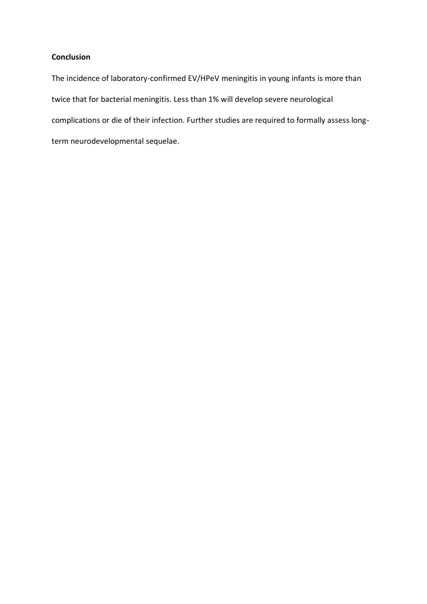# **Conclusion**

The incidence of laboratory-confirmed EV/HPeV meningitis in young infants is more than twice that for bacterial meningitis. Less than 1% will develop severe neurological complications or die of their infection. Further studies are required to formally assess longterm neurodevelopmental sequelae.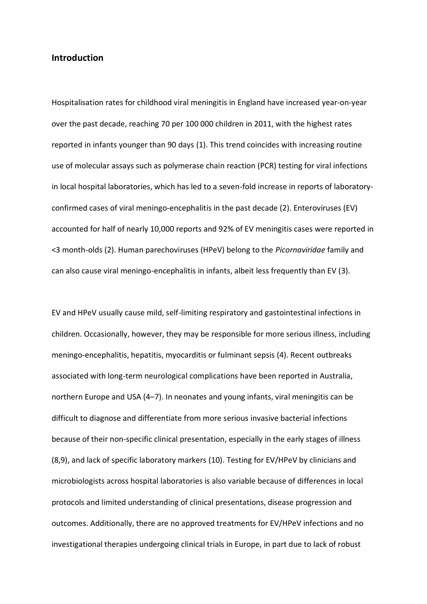# **Introduction**

Hospitalisation rates for childhood viral meningitis in England have increased year-on-year over the past decade, reaching 70 per 100 000 children in 2011, with the highest rates reported in infants younger than 90 days (1). This trend coincides with increasing routine use of molecular assays such as polymerase chain reaction (PCR) testing for viral infections in local hospital laboratories, which has led to a seven-fold increase in reports of laboratoryconfirmed cases of viral meningo-encephalitis in the past decade (2). Enteroviruses (EV) accounted for half of nearly 10,000 reports and 92% of EV meningitis cases were reported in <3 month-olds (2). Human parechoviruses (HPeV) belong to the *Picornaviridae* family and can also cause viral meningo-encephalitis in infants, albeit less frequently than EV (3).

EV and HPeV usually cause mild, self-limiting respiratory and gastointestinal infections in children. Occasionally, however, they may be responsible for more serious illness, including meningo-encephalitis, hepatitis, myocarditis or fulminant sepsis (4). Recent outbreaks associated with long-term neurological complications have been reported in Australia, northern Europe and USA (4–7). In neonates and young infants, viral meningitis can be difficult to diagnose and differentiate from more serious invasive bacterial infections because of their non-specific clinical presentation, especially in the early stages of illness (8,9), and lack of specific laboratory markers (10). Testing for EV/HPeV by clinicians and microbiologists across hospital laboratories is also variable because of differences in local protocols and limited understanding of clinical presentations, disease progression and outcomes. Additionally, there are no approved treatments for EV/HPeV infections and no investigational therapies undergoing clinical trials in Europe, in part due to lack of robust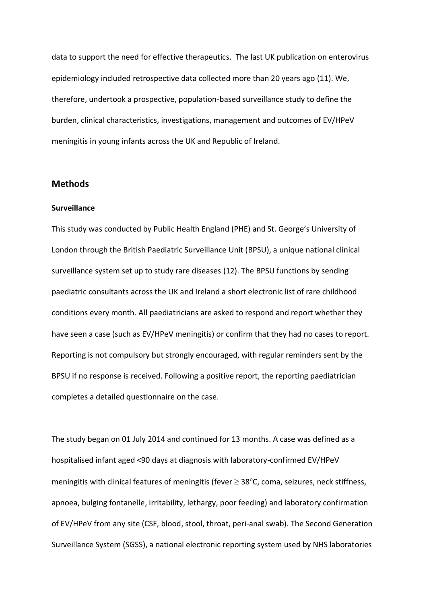data to support the need for effective therapeutics. The last UK publication on enterovirus epidemiology included retrospective data collected more than 20 years ago (11). We, therefore, undertook a prospective, population-based surveillance study to define the burden, clinical characteristics, investigations, management and outcomes of EV/HPeV meningitis in young infants across the UK and Republic of Ireland.

# **Methods**

# **Surveillance**

This study was conducted by Public Health England (PHE) and St. George's University of London through the British Paediatric Surveillance Unit (BPSU), a unique national clinical surveillance system set up to study rare diseases (12). The BPSU functions by sending paediatric consultants across the UK and Ireland a short electronic list of rare childhood conditions every month. All paediatricians are asked to respond and report whether they have seen a case (such as EV/HPeV meningitis) or confirm that they had no cases to report. Reporting is not compulsory but strongly encouraged, with regular reminders sent by the BPSU if no response is received. Following a positive report, the reporting paediatrician completes a detailed questionnaire on the case.

The study began on 01 July 2014 and continued for 13 months. A case was defined as a hospitalised infant aged <90 days at diagnosis with laboratory-confirmed EV/HPeV meningitis with clinical features of meningitis (fever  $\geq$  38°C, coma, seizures, neck stiffness, apnoea, bulging fontanelle, irritability, lethargy, poor feeding) and laboratory confirmation of EV/HPeV from any site (CSF, blood, stool, throat, peri-anal swab). The Second Generation Surveillance System (SGSS), a national electronic reporting system used by NHS laboratories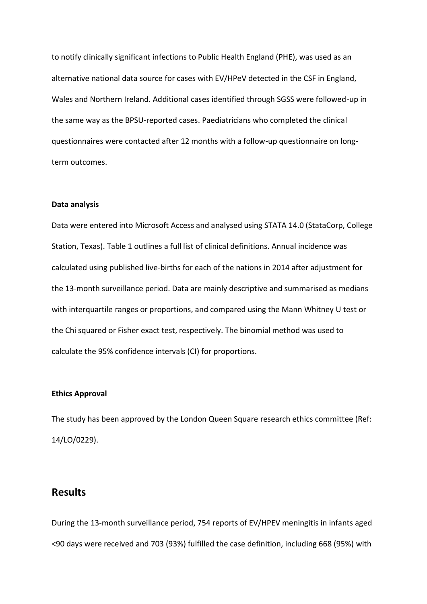to notify clinically significant infections to Public Health England (PHE), was used as an alternative national data source for cases with EV/HPeV detected in the CSF in England, Wales and Northern Ireland. Additional cases identified through SGSS were followed-up in the same way as the BPSU-reported cases. Paediatricians who completed the clinical questionnaires were contacted after 12 months with a follow-up questionnaire on longterm outcomes.

#### **Data analysis**

Data were entered into Microsoft Access and analysed using STATA 14.0 (StataCorp, College Station, Texas). Table 1 outlines a full list of clinical definitions. Annual incidence was calculated using published live-births for each of the nations in 2014 after adjustment for the 13-month surveillance period. Data are mainly descriptive and summarised as medians with interquartile ranges or proportions, and compared using the Mann Whitney U test or the Chi squared or Fisher exact test, respectively. The binomial method was used to calculate the 95% confidence intervals (CI) for proportions.

#### **Ethics Approval**

The study has been approved by the London Queen Square research ethics committee (Ref: 14/LO/0229).

# **Results**

During the 13-month surveillance period, 754 reports of EV/HPEV meningitis in infants aged <90 days were received and 703 (93%) fulfilled the case definition, including 668 (95%) with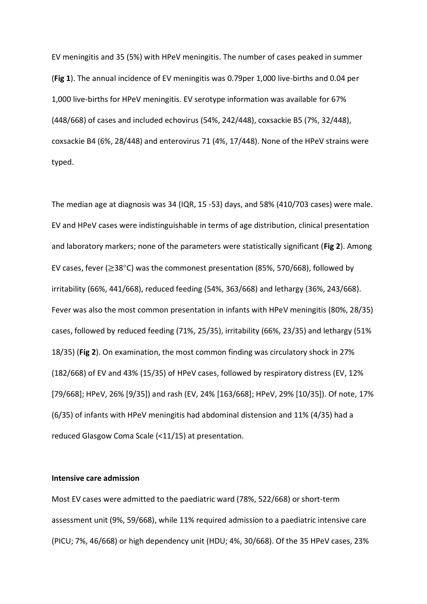EV meningitis and 35 (5%) with HPeV meningitis. The number of cases peaked in summer (**Fig 1**). The annual incidence of EV meningitis was 0.79per 1,000 live-births and 0.04 per 1,000 live-births for HPeV meningitis. EV serotype information was available for 67% (448/668) of cases and included echovirus (54%, 242/448), coxsackie B5 (7%, 32/448), coxsackie B4 (6%, 28/448) and enterovirus 71 (4%, 17/448). None of the HPeV strains were typed.

The median age at diagnosis was 34 (IQR, 15 -53) days, and 58% (410/703 cases) were male. EV and HPeV cases were indistinguishable in terms of age distribution, clinical presentation and laboratory markers; none of the parameters were statistically significant (**Fig 2**). Among EV cases, fever ( $\geq$ 38°C) was the commonest presentation (85%, 570/668), followed by irritability (66%, 441/668), reduced feeding (54%, 363/668) and lethargy (36%, 243/668). Fever was also the most common presentation in infants with HPeV meningitis (80%, 28/35) cases, followed by reduced feeding (71%, 25/35), irritability (66%, 23/35) and lethargy (51% 18/35) (**Fig 2**). On examination, the most common finding was circulatory shock in 27% (182/668) of EV and 43% (15/35) of HPeV cases, followed by respiratory distress (EV, 12% [79/668]; HPeV, 26% [9/35]) and rash (EV, 24% [163/668]; HPeV, 29% [10/35]). Of note, 17% (6/35) of infants with HPeV meningitis had abdominal distension and 11% (4/35) had a reduced Glasgow Coma Scale (<11/15) at presentation.

## **Intensive care admission**

Most EV cases were admitted to the paediatric ward (78%, 522/668) or short-term assessment unit (9%, 59/668), while 11% required admission to a paediatric intensive care (PICU; 7%, 46/668) or high dependency unit (HDU; 4%, 30/668). Of the 35 HPeV cases, 23%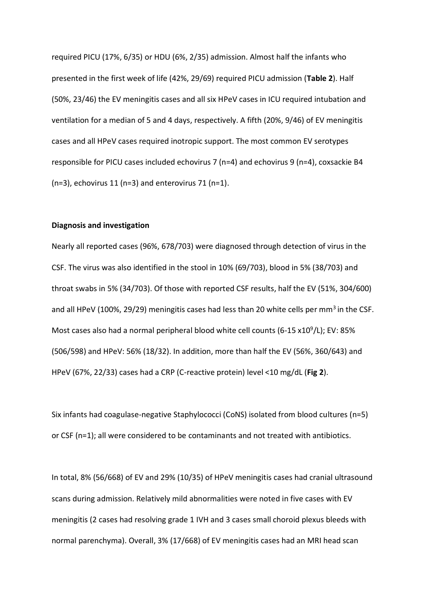required PICU (17%, 6/35) or HDU (6%, 2/35) admission. Almost half the infants who presented in the first week of life (42%, 29/69) required PICU admission (**Table 2**). Half (50%, 23/46) the EV meningitis cases and all six HPeV cases in ICU required intubation and ventilation for a median of 5 and 4 days, respectively. A fifth (20%, 9/46) of EV meningitis cases and all HPeV cases required inotropic support. The most common EV serotypes responsible for PICU cases included echovirus 7 (n=4) and echovirus 9 (n=4), coxsackie B4 (n=3), echovirus 11 (n=3) and enterovirus 71 (n=1).

#### **Diagnosis and investigation**

Nearly all reported cases (96%, 678/703) were diagnosed through detection of virus in the CSF. The virus was also identified in the stool in 10% (69/703), blood in 5% (38/703) and throat swabs in 5% (34/703). Of those with reported CSF results, half the EV (51%, 304/600) and all HPeV (100%, 29/29) meningitis cases had less than 20 white cells per mm<sup>3</sup> in the CSF. Most cases also had a normal peripheral blood white cell counts (6-15  $x10^9$ /L); EV: 85% (506/598) and HPeV: 56% (18/32). In addition, more than half the EV (56%, 360/643) and HPeV (67%, 22/33) cases had a CRP (C-reactive protein) level <10 mg/dL (**Fig 2**).

Six infants had coagulase-negative Staphylococci (CoNS) isolated from blood cultures (n=5) or CSF (n=1); all were considered to be contaminants and not treated with antibiotics.

In total, 8% (56/668) of EV and 29% (10/35) of HPeV meningitis cases had cranial ultrasound scans during admission. Relatively mild abnormalities were noted in five cases with EV meningitis (2 cases had resolving grade 1 IVH and 3 cases small choroid plexus bleeds with normal parenchyma). Overall, 3% (17/668) of EV meningitis cases had an MRI head scan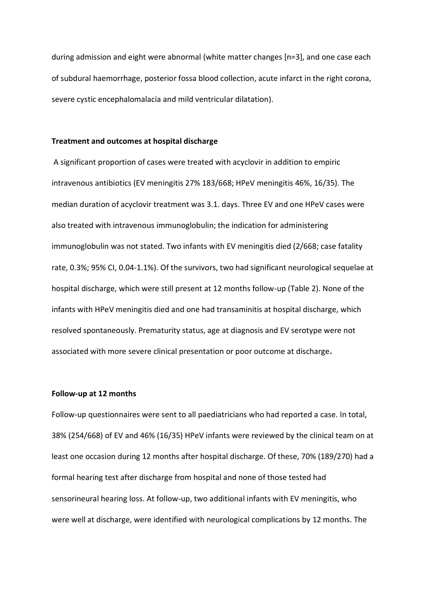during admission and eight were abnormal (white matter changes [n=3], and one case each of subdural haemorrhage, posterior fossa blood collection, acute infarct in the right corona, severe cystic encephalomalacia and mild ventricular dilatation).

## **Treatment and outcomes at hospital discharge**

A significant proportion of cases were treated with acyclovir in addition to empiric intravenous antibiotics (EV meningitis 27% 183/668; HPeV meningitis 46%, 16/35). The median duration of acyclovir treatment was 3.1. days. Three EV and one HPeV cases were also treated with intravenous immunoglobulin; the indication for administering immunoglobulin was not stated. Two infants with EV meningitis died (2/668; case fatality rate, 0.3%; 95% CI, 0.04-1.1%). Of the survivors, two had significant neurological sequelae at hospital discharge, which were still present at 12 months follow-up (Table 2). None of the infants with HPeV meningitis died and one had transaminitis at hospital discharge, which resolved spontaneously. Prematurity status, age at diagnosis and EV serotype were not associated with more severe clinical presentation or poor outcome at discharge**.**

#### **Follow-up at 12 months**

Follow-up questionnaires were sent to all paediatricians who had reported a case. In total, 38% (254/668) of EV and 46% (16/35) HPeV infants were reviewed by the clinical team on at least one occasion during 12 months after hospital discharge. Of these, 70% (189/270) had a formal hearing test after discharge from hospital and none of those tested had sensorineural hearing loss. At follow-up, two additional infants with EV meningitis, who were well at discharge, were identified with neurological complications by 12 months. The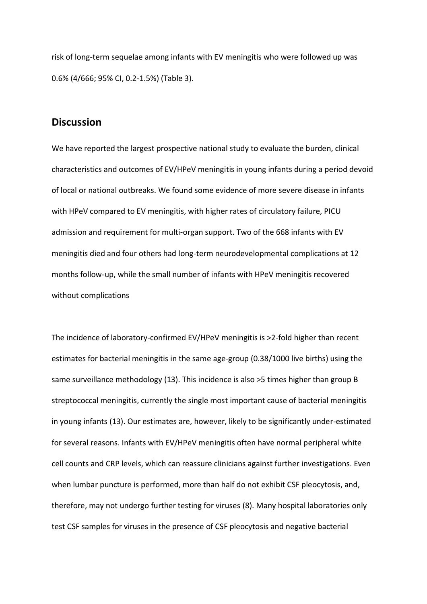risk of long-term sequelae among infants with EV meningitis who were followed up was 0.6% (4/666; 95% CI, 0.2-1.5%) (Table 3).

# **Discussion**

We have reported the largest prospective national study to evaluate the burden, clinical characteristics and outcomes of EV/HPeV meningitis in young infants during a period devoid of local or national outbreaks. We found some evidence of more severe disease in infants with HPeV compared to EV meningitis, with higher rates of circulatory failure, PICU admission and requirement for multi-organ support. Two of the 668 infants with EV meningitis died and four others had long-term neurodevelopmental complications at 12 months follow-up, while the small number of infants with HPeV meningitis recovered without complications

The incidence of laboratory-confirmed EV/HPeV meningitis is >2-fold higher than recent estimates for bacterial meningitis in the same age-group (0.38/1000 live births) using the same surveillance methodology (13). This incidence is also >5 times higher than group B streptococcal meningitis, currently the single most important cause of bacterial meningitis in young infants (13). Our estimates are, however, likely to be significantly under-estimated for several reasons. Infants with EV/HPeV meningitis often have normal peripheral white cell counts and CRP levels, which can reassure clinicians against further investigations. Even when lumbar puncture is performed, more than half do not exhibit CSF pleocytosis, and, therefore, may not undergo further testing for viruses (8). Many hospital laboratories only test CSF samples for viruses in the presence of CSF pleocytosis and negative bacterial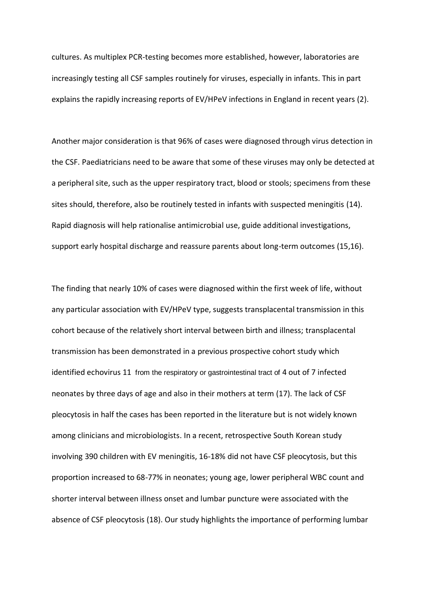cultures. As multiplex PCR-testing becomes more established, however, laboratories are increasingly testing all CSF samples routinely for viruses, especially in infants. This in part explains the rapidly increasing reports of EV/HPeV infections in England in recent years (2).

Another major consideration is that 96% of cases were diagnosed through virus detection in the CSF. Paediatricians need to be aware that some of these viruses may only be detected at a peripheral site, such as the upper respiratory tract, blood or stools; specimens from these sites should, therefore, also be routinely tested in infants with suspected meningitis (14). Rapid diagnosis will help rationalise antimicrobial use, guide additional investigations, support early hospital discharge and reassure parents about long-term outcomes (15,16).

The finding that nearly 10% of cases were diagnosed within the first week of life, without any particular association with EV/HPeV type, suggests transplacental transmission in this cohort because of the relatively short interval between birth and illness; transplacental transmission has been demonstrated in a previous prospective cohort study which identified echovirus 11 from the respiratory or gastrointestinal tract of 4 out of 7 infected neonates by three days of age and also in their mothers at term (17). The lack of CSF pleocytosis in half the cases has been reported in the literature but is not widely known among clinicians and microbiologists. In a recent, retrospective South Korean study involving 390 children with EV meningitis, 16-18% did not have CSF pleocytosis, but this proportion increased to 68-77% in neonates; young age, lower peripheral WBC count and shorter interval between illness onset and lumbar puncture were associated with the absence of CSF pleocytosis (18). Our study highlights the importance of performing lumbar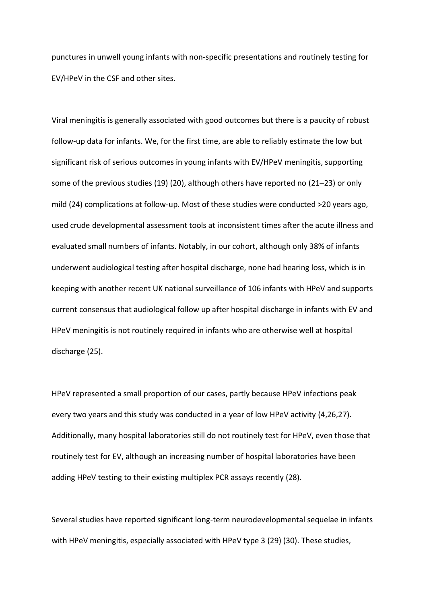punctures in unwell young infants with non-specific presentations and routinely testing for EV/HPeV in the CSF and other sites.

Viral meningitis is generally associated with good outcomes but there is a paucity of robust follow-up data for infants. We, for the first time, are able to reliably estimate the low but significant risk of serious outcomes in young infants with EV/HPeV meningitis, supporting some of the previous studies (19) (20), although others have reported no (21–23) or only mild (24) complications at follow-up. Most of these studies were conducted >20 years ago, used crude developmental assessment tools at inconsistent times after the acute illness and evaluated small numbers of infants. Notably, in our cohort, although only 38% of infants underwent audiological testing after hospital discharge, none had hearing loss, which is in keeping with another recent UK national surveillance of 106 infants with HPeV and supports current consensus that audiological follow up after hospital discharge in infants with EV and HPeV meningitis is not routinely required in infants who are otherwise well at hospital discharge (25).

HPeV represented a small proportion of our cases, partly because HPeV infections peak every two years and this study was conducted in a year of low HPeV activity (4,26,27). Additionally, many hospital laboratories still do not routinely test for HPeV, even those that routinely test for EV, although an increasing number of hospital laboratories have been adding HPeV testing to their existing multiplex PCR assays recently (28).

Several studies have reported significant long-term neurodevelopmental sequelae in infants with HPeV meningitis, especially associated with HPeV type 3 (29) (30). These studies,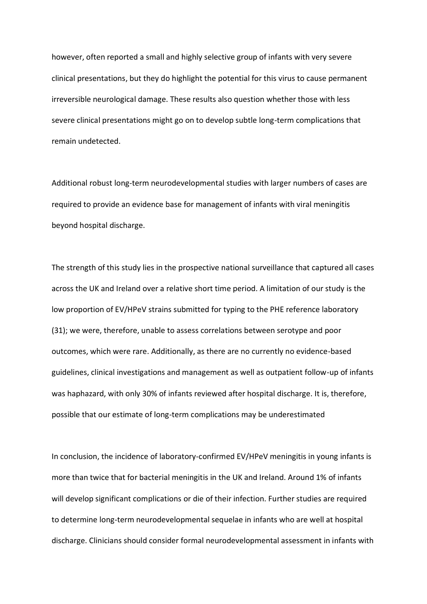however, often reported a small and highly selective group of infants with very severe clinical presentations, but they do highlight the potential for this virus to cause permanent irreversible neurological damage. These results also question whether those with less severe clinical presentations might go on to develop subtle long-term complications that remain undetected.

Additional robust long-term neurodevelopmental studies with larger numbers of cases are required to provide an evidence base for management of infants with viral meningitis beyond hospital discharge.

The strength of this study lies in the prospective national surveillance that captured all cases across the UK and Ireland over a relative short time period. A limitation of our study is the low proportion of EV/HPeV strains submitted for typing to the PHE reference laboratory (31); we were, therefore, unable to assess correlations between serotype and poor outcomes, which were rare. Additionally, as there are no currently no evidence-based guidelines, clinical investigations and management as well as outpatient follow-up of infants was haphazard, with only 30% of infants reviewed after hospital discharge. It is, therefore, possible that our estimate of long-term complications may be underestimated

In conclusion, the incidence of laboratory-confirmed EV/HPeV meningitis in young infants is more than twice that for bacterial meningitis in the UK and Ireland. Around 1% of infants will develop significant complications or die of their infection. Further studies are required to determine long-term neurodevelopmental sequelae in infants who are well at hospital discharge. Clinicians should consider formal neurodevelopmental assessment in infants with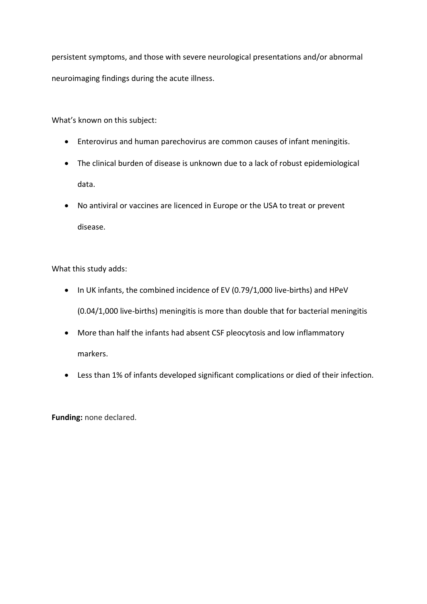persistent symptoms, and those with severe neurological presentations and/or abnormal neuroimaging findings during the acute illness.

What's known on this subject:

- Enterovirus and human parechovirus are common causes of infant meningitis.
- The clinical burden of disease is unknown due to a lack of robust epidemiological data.
- No antiviral or vaccines are licenced in Europe or the USA to treat or prevent disease.

What this study adds:

- In UK infants, the combined incidence of EV (0.79/1,000 live-births) and HPeV (0.04/1,000 live-births) meningitis is more than double that for bacterial meningitis
- More than half the infants had absent CSF pleocytosis and low inflammatory markers.
- Less than 1% of infants developed significant complications or died of their infection.

**Funding:** none declared.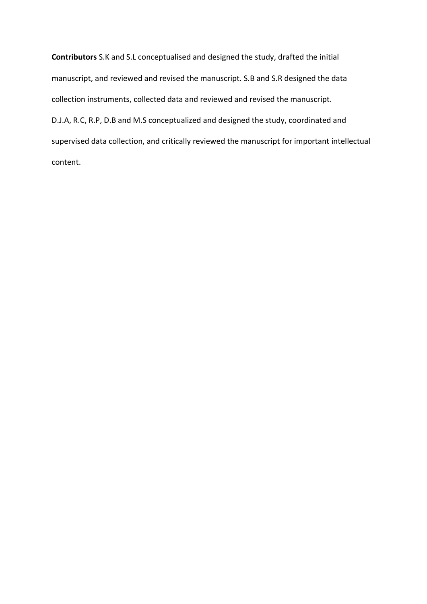**Contributors** S.K and S.L conceptualised and designed the study, drafted the initial manuscript, and reviewed and revised the manuscript. S.B and S.R designed the data collection instruments, collected data and reviewed and revised the manuscript. D.J.A, R.C, R.P, D.B and M.S conceptualized and designed the study, coordinated and supervised data collection, and critically reviewed the manuscript for important intellectual content.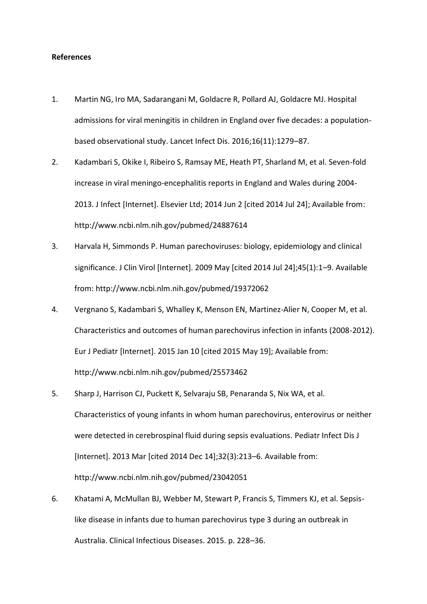## **References**

- 1. Martin NG, Iro MA, Sadarangani M, Goldacre R, Pollard AJ, Goldacre MJ. Hospital admissions for viral meningitis in children in England over five decades: a populationbased observational study. Lancet Infect Dis. 2016;16(11):1279–87.
- 2. Kadambari S, Okike I, Ribeiro S, Ramsay ME, Heath PT, Sharland M, et al. Seven-fold increase in viral meningo-encephalitis reports in England and Wales during 2004- 2013. J Infect [Internet]. Elsevier Ltd; 2014 Jun 2 [cited 2014 Jul 24]; Available from: http://www.ncbi.nlm.nih.gov/pubmed/24887614
- 3. Harvala H, Simmonds P. Human parechoviruses: biology, epidemiology and clinical significance. J Clin Virol [Internet]. 2009 May [cited 2014 Jul 24];45(1):1–9. Available from: http://www.ncbi.nlm.nih.gov/pubmed/19372062
- 4. Vergnano S, Kadambari S, Whalley K, Menson EN, Martinez-Alier N, Cooper M, et al. Characteristics and outcomes of human parechovirus infection in infants (2008-2012). Eur J Pediatr [Internet]. 2015 Jan 10 [cited 2015 May 19]; Available from: http://www.ncbi.nlm.nih.gov/pubmed/25573462
- 5. Sharp J, Harrison CJ, Puckett K, Selvaraju SB, Penaranda S, Nix WA, et al. Characteristics of young infants in whom human parechovirus, enterovirus or neither were detected in cerebrospinal fluid during sepsis evaluations. Pediatr Infect Dis J [Internet]. 2013 Mar [cited 2014 Dec 14];32(3):213–6. Available from: http://www.ncbi.nlm.nih.gov/pubmed/23042051
- 6. Khatami A, McMullan BJ, Webber M, Stewart P, Francis S, Timmers KJ, et al. Sepsislike disease in infants due to human parechovirus type 3 during an outbreak in Australia. Clinical Infectious Diseases. 2015. p. 228–36.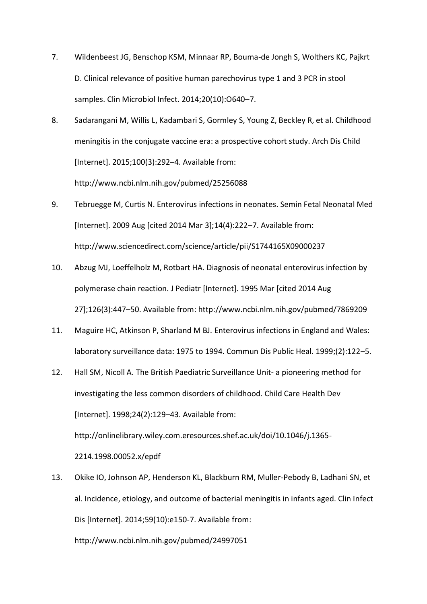- 7. Wildenbeest JG, Benschop KSM, Minnaar RP, Bouma-de Jongh S, Wolthers KC, Pajkrt D. Clinical relevance of positive human parechovirus type 1 and 3 PCR in stool samples. Clin Microbiol Infect. 2014;20(10):O640–7.
- 8. Sadarangani M, Willis L, Kadambari S, Gormley S, Young Z, Beckley R, et al. Childhood meningitis in the conjugate vaccine era: a prospective cohort study. Arch Dis Child [Internet]. 2015;100(3):292–4. Available from: http://www.ncbi.nlm.nih.gov/pubmed/25256088
- 9. Tebruegge M, Curtis N. Enterovirus infections in neonates. Semin Fetal Neonatal Med [Internet]. 2009 Aug [cited 2014 Mar 3];14(4):222–7. Available from: http://www.sciencedirect.com/science/article/pii/S1744165X09000237
- 10. Abzug MJ, Loeffelholz M, Rotbart HA. Diagnosis of neonatal enterovirus infection by polymerase chain reaction. J Pediatr [Internet]. 1995 Mar [cited 2014 Aug 27];126(3):447–50. Available from: http://www.ncbi.nlm.nih.gov/pubmed/7869209
- 11. Maguire HC, Atkinson P, Sharland M BJ. Enterovirus infections in England and Wales: laboratory surveillance data: 1975 to 1994. Commun Dis Public Heal. 1999;(2):122–5.
- 12. Hall SM, Nicoll A. The British Paediatric Surveillance Unit- a pioneering method for investigating the less common disorders of childhood. Child Care Health Dev [Internet]. 1998;24(2):129-43. Available from: http://onlinelibrary.wiley.com.eresources.shef.ac.uk/doi/10.1046/j.1365- 2214.1998.00052.x/epdf
- 13. Okike IO, Johnson AP, Henderson KL, Blackburn RM, Muller-Pebody B, Ladhani SN, et al. Incidence, etiology, and outcome of bacterial meningitis in infants aged. Clin Infect Dis [Internet]. 2014;59(10):e150-7. Available from: http://www.ncbi.nlm.nih.gov/pubmed/24997051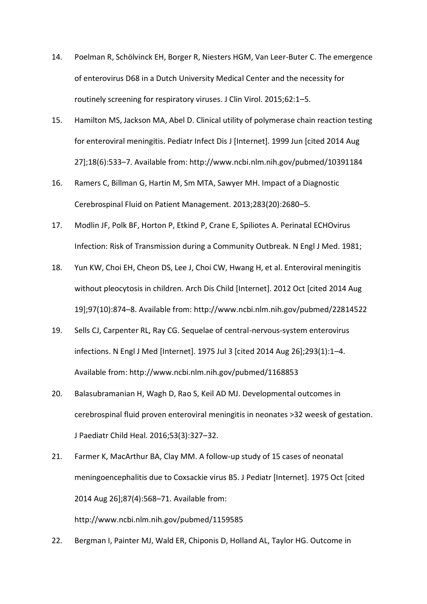- 14. Poelman R, Schölvinck EH, Borger R, Niesters HGM, Van Leer-Buter C. The emergence of enterovirus D68 in a Dutch University Medical Center and the necessity for routinely screening for respiratory viruses. J Clin Virol. 2015;62:1–5.
- 15. Hamilton MS, Jackson MA, Abel D. Clinical utility of polymerase chain reaction testing for enteroviral meningitis. Pediatr Infect Dis J [Internet]. 1999 Jun [cited 2014 Aug 27];18(6):533–7. Available from: http://www.ncbi.nlm.nih.gov/pubmed/10391184
- 16. Ramers C, Billman G, Hartin M, Sm MTA, Sawyer MH. Impact of a Diagnostic Cerebrospinal Fluid on Patient Management. 2013;283(20):2680–5.
- 17. Modlin JF, Polk BF, Horton P, Etkind P, Crane E, Spiliotes A. Perinatal ECHOvirus Infection: Risk of Transmission during a Community Outbreak. N Engl J Med. 1981;
- 18. Yun KW, Choi EH, Cheon DS, Lee J, Choi CW, Hwang H, et al. Enteroviral meningitis without pleocytosis in children. Arch Dis Child [Internet]. 2012 Oct [cited 2014 Aug 19];97(10):874–8. Available from: http://www.ncbi.nlm.nih.gov/pubmed/22814522
- 19. Sells CJ, Carpenter RL, Ray CG. Sequelae of central-nervous-system enterovirus infections. N Engl J Med [Internet]. 1975 Jul 3 [cited 2014 Aug 26];293(1):1–4. Available from: http://www.ncbi.nlm.nih.gov/pubmed/1168853
- 20. Balasubramanian H, Wagh D, Rao S, Keil AD MJ. Developmental outcomes in cerebrospinal fluid proven enteroviral meningitis in neonates >32 weesk of gestation. J Paediatr Child Heal. 2016;53(3):327–32.
- 21. Farmer K, MacArthur BA, Clay MM. A follow-up study of 15 cases of neonatal meningoencephalitis due to Coxsackie virus B5. J Pediatr [Internet]. 1975 Oct [cited 2014 Aug 26];87(4):568–71. Available from:

http://www.ncbi.nlm.nih.gov/pubmed/1159585

22. Bergman I, Painter MJ, Wald ER, Chiponis D, Holland AL, Taylor HG. Outcome in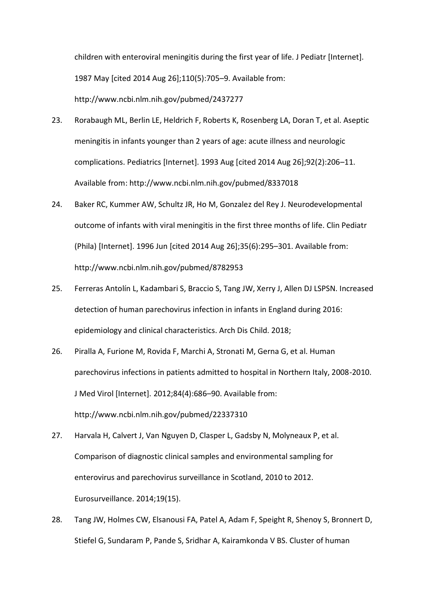children with enteroviral meningitis during the first year of life. J Pediatr [Internet]. 1987 May [cited 2014 Aug 26];110(5):705–9. Available from: http://www.ncbi.nlm.nih.gov/pubmed/2437277

- 23. Rorabaugh ML, Berlin LE, Heldrich F, Roberts K, Rosenberg LA, Doran T, et al. Aseptic meningitis in infants younger than 2 years of age: acute illness and neurologic complications. Pediatrics [Internet]. 1993 Aug [cited 2014 Aug 26];92(2):206–11. Available from: http://www.ncbi.nlm.nih.gov/pubmed/8337018
- 24. Baker RC, Kummer AW, Schultz JR, Ho M, Gonzalez del Rey J. Neurodevelopmental outcome of infants with viral meningitis in the first three months of life. Clin Pediatr (Phila) [Internet]. 1996 Jun [cited 2014 Aug 26];35(6):295–301. Available from: http://www.ncbi.nlm.nih.gov/pubmed/8782953
- 25. Ferreras Antolín L, Kadambari S, Braccio S, Tang JW, Xerry J, Allen DJ LSPSN. Increased detection of human parechovirus infection in infants in England during 2016: epidemiology and clinical characteristics. Arch Dis Child. 2018;
- 26. Piralla A, Furione M, Rovida F, Marchi A, Stronati M, Gerna G, et al. Human parechovirus infections in patients admitted to hospital in Northern Italy, 2008-2010. J Med Virol [Internet]. 2012;84(4):686–90. Available from: http://www.ncbi.nlm.nih.gov/pubmed/22337310
- 27. Harvala H, Calvert J, Van Nguyen D, Clasper L, Gadsby N, Molyneaux P, et al. Comparison of diagnostic clinical samples and environmental sampling for enterovirus and parechovirus surveillance in Scotland, 2010 to 2012. Eurosurveillance. 2014;19(15).
- 28. Tang JW, Holmes CW, Elsanousi FA, Patel A, Adam F, Speight R, Shenoy S, Bronnert D, Stiefel G, Sundaram P, Pande S, Sridhar A, Kairamkonda V BS. Cluster of human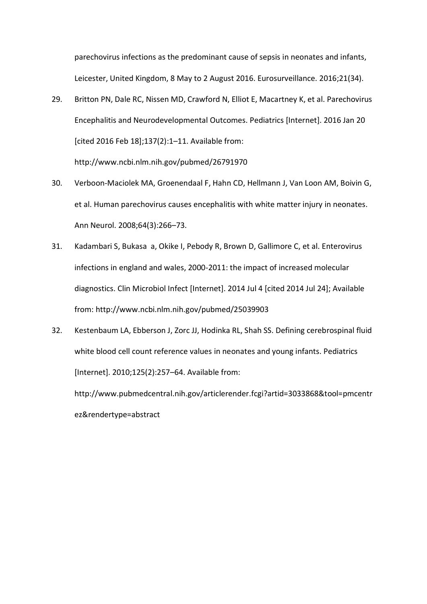parechovirus infections as the predominant cause of sepsis in neonates and infants, Leicester, United Kingdom, 8 May to 2 August 2016. Eurosurveillance. 2016;21(34).

- 29. Britton PN, Dale RC, Nissen MD, Crawford N, Elliot E, Macartney K, et al. Parechovirus Encephalitis and Neurodevelopmental Outcomes. Pediatrics [Internet]. 2016 Jan 20 [cited 2016 Feb 18];137(2):1–11. Available from: http://www.ncbi.nlm.nih.gov/pubmed/26791970
- 30. Verboon-Maciolek MA, Groenendaal F, Hahn CD, Hellmann J, Van Loon AM, Boivin G, et al. Human parechovirus causes encephalitis with white matter injury in neonates. Ann Neurol. 2008;64(3):266–73.
- 31. Kadambari S, Bukasa a, Okike I, Pebody R, Brown D, Gallimore C, et al. Enterovirus infections in england and wales, 2000-2011: the impact of increased molecular diagnostics. Clin Microbiol Infect [Internet]. 2014 Jul 4 [cited 2014 Jul 24]; Available from: http://www.ncbi.nlm.nih.gov/pubmed/25039903
- 32. Kestenbaum LA, Ebberson J, Zorc JJ, Hodinka RL, Shah SS. Defining cerebrospinal fluid white blood cell count reference values in neonates and young infants. Pediatrics [Internet]. 2010;125(2):257–64. Available from:

http://www.pubmedcentral.nih.gov/articlerender.fcgi?artid=3033868&tool=pmcentr ez&rendertype=abstract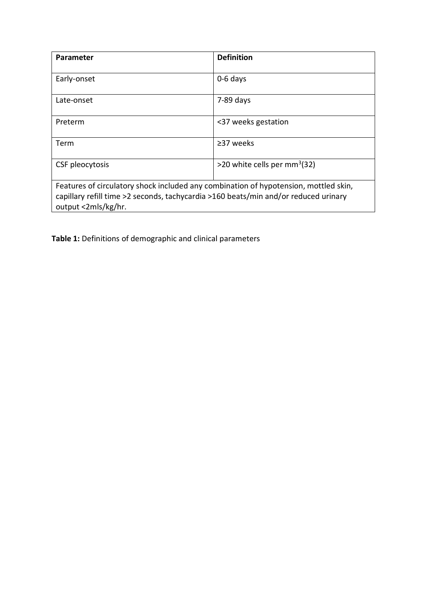| <b>Parameter</b>                                                                                                                                                                                   | <b>Definition</b>             |  |  |  |
|----------------------------------------------------------------------------------------------------------------------------------------------------------------------------------------------------|-------------------------------|--|--|--|
| Early-onset                                                                                                                                                                                        | $0-6$ days                    |  |  |  |
| Late-onset                                                                                                                                                                                         | $7-89$ days                   |  |  |  |
| Preterm                                                                                                                                                                                            | <37 weeks gestation           |  |  |  |
| Term                                                                                                                                                                                               | $\geq$ 37 weeks               |  |  |  |
| CSF pleocytosis                                                                                                                                                                                    | >20 white cells per $mm3(32)$ |  |  |  |
| Features of circulatory shock included any combination of hypotension, mottled skin,<br>capillary refill time >2 seconds, tachycardia >160 beats/min and/or reduced urinary<br>output <2mls/kg/hr. |                               |  |  |  |

**Table 1:** Definitions of demographic and clinical parameters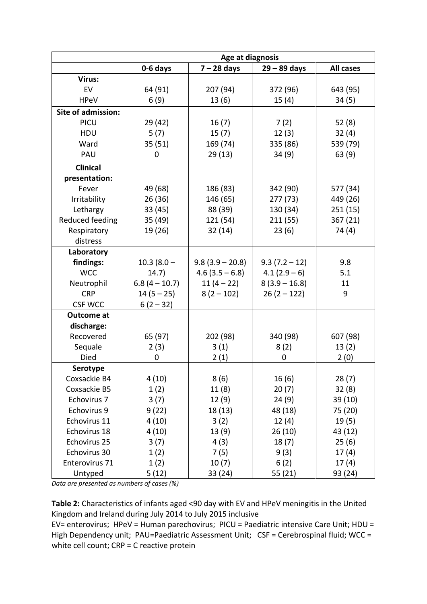|                           |                 | Age at diagnosis  |                 |                  |
|---------------------------|-----------------|-------------------|-----------------|------------------|
|                           | 0-6 days        | $7 - 28$ days     | $29 - 89$ days  | <b>All cases</b> |
| Virus:                    |                 |                   |                 |                  |
| EV                        | 64 (91)         | 207 (94)          | 372 (96)        | 643 (95)         |
| <b>HPeV</b>               | 6(9)            | 13(6)             | 15(4)           | 34(5)            |
| <b>Site of admission:</b> |                 |                   |                 |                  |
| PICU                      | 29(42)          | 16(7)             | 7(2)            | 52(8)            |
| HDU                       | 5(7)            | 15(7)             | 12(3)           | 32(4)            |
| Ward                      | 35(51)          | 169 (74)          | 335 (86)        | 539 (79)         |
| PAU                       | 0               | 29 (13)           | 34(9)           | 63 (9)           |
| <b>Clinical</b>           |                 |                   |                 |                  |
| presentation:             |                 |                   |                 |                  |
| Fever                     | 49 (68)         | 186 (83)          | 342 (90)        | 577 (34)         |
| Irritability              | 26(36)          | 146 (65)          | 277 (73)        | 449 (26)         |
| Lethargy                  | 33 (45)         | 88 (39)           | 130 (34)        | 251(15)          |
| Reduced feeding           | 35 (49)         | 121 (54)          | 211(55)         | 367(21)          |
| Respiratory               | 19 (26)         | 32(14)            | 23(6)           | 74 (4)           |
| distress                  |                 |                   |                 |                  |
| Laboratory                |                 |                   |                 |                  |
| findings:                 | $10.3(8.0 -$    | $9.8(3.9 - 20.8)$ | $9.3(7.2 - 12)$ | 9.8              |
| <b>WCC</b>                | 14.7)           | $4.6(3.5 - 6.8)$  | $4.1(2.9-6)$    | 5.1              |
| Neutrophil                | $6.8(4 - 10.7)$ | $11(4-22)$        | $8(3.9 - 16.8)$ | 11               |
| <b>CRP</b>                | $14(5 - 25)$    | $8(2 - 102)$      | $26(2 - 122)$   | 9                |
| <b>CSF WCC</b>            | $6(2-32)$       |                   |                 |                  |
| <b>Outcome at</b>         |                 |                   |                 |                  |
| discharge:                |                 |                   |                 |                  |
| Recovered                 | 65 (97)         | 202 (98)          | 340 (98)        | 607 (98)         |
| Sequale                   | 2(3)            | 3(1)              | 8(2)            | 13(2)            |
| Died                      | 0               | 2(1)              | 0               | 2(0)             |
| Serotype                  |                 |                   |                 |                  |
| Coxsackie B4              | 4(10)           | 8(6)              | 16(6)           | 28(7)            |
| Coxsackie B5              | 1(2)            | 11(8)             | 20(7)           | 32(8)            |
| Echovirus 7               | 3(7)            | 12(9)             | 24(9)           | 39 (10)          |
| Echovirus 9               | 9(22)           | 18 (13)           | 48 (18)         | 75 (20)          |
| Echovirus 11              | 4(10)           | 3(2)              | 12(4)           | 19(5)            |
| Echovirus 18              | 4(10)           | 13 (9)            | 26(10)          | 43 (12)          |
| Echovirus 25              | 3(7)            | 4(3)              | 18(7)           | 25(6)            |
| Echovirus 30              | 1(2)            | 7(5)              | 9(3)            | 17(4)            |
| Enterovirus 71            | 1(2)            | 10(7)             | 6(2)            | 17(4)            |
| Untyped                   | 5(12)           | 33 (24)           | 55 (21)         | 93 (24)          |

*Data are presented as numbers of cases (%)*

**Table 2:** Characteristics of infants aged <90 day with EV and HPeV meningitis in the United Kingdom and Ireland during July 2014 to July 2015 inclusive

EV= enterovirus; HPeV = Human parechovirus; PICU = Paediatric intensive Care Unit; HDU = High Dependency unit; PAU=Paediatric Assessment Unit; CSF = Cerebrospinal fluid; WCC = white cell count; CRP = C reactive protein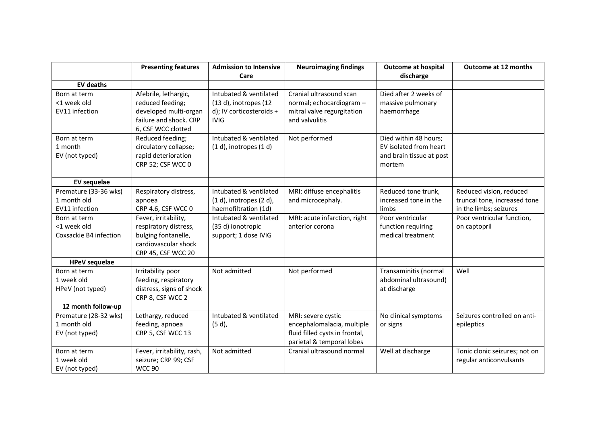|                                                        | <b>Presenting features</b>                                                                                         | <b>Admission to Intensive</b><br>Care                                                      | <b>Neuroimaging findings</b>                                                                                    | <b>Outcome at hospital</b><br>discharge                                               | Outcome at 12 months                                                              |
|--------------------------------------------------------|--------------------------------------------------------------------------------------------------------------------|--------------------------------------------------------------------------------------------|-----------------------------------------------------------------------------------------------------------------|---------------------------------------------------------------------------------------|-----------------------------------------------------------------------------------|
| <b>EV deaths</b>                                       |                                                                                                                    |                                                                                            |                                                                                                                 |                                                                                       |                                                                                   |
| Born at term<br><1 week old<br>EV11 infection          | Afebrile, lethargic,<br>reduced feeding;<br>developed multi-organ<br>failure and shock. CRP<br>6, CSF WCC clotted  | Intubated & ventilated<br>(13 d), inotropes (12<br>d); IV corticosteroids +<br><b>IVIG</b> | Cranial ultrasound scan<br>normal; echocardiogram -<br>mitral valve regurgitation<br>and valvulitis             | Died after 2 weeks of<br>massive pulmonary<br>haemorrhage                             |                                                                                   |
| Born at term<br>1 month<br>EV (not typed)              | Reduced feeding;<br>circulatory collapse;<br>rapid deterioration<br>CRP 52; CSF WCC 0                              | Intubated & ventilated<br>$(1 d)$ , inotropes $(1 d)$                                      | Not performed                                                                                                   | Died within 48 hours;<br>EV isolated from heart<br>and brain tissue at post<br>mortem |                                                                                   |
| <b>EV</b> sequelae                                     |                                                                                                                    |                                                                                            |                                                                                                                 |                                                                                       |                                                                                   |
| Premature (33-36 wks)<br>1 month old<br>EV11 infection | Respiratory distress,<br>apnoea<br>CRP 4.6, CSF WCC 0                                                              | Intubated & ventilated<br>$(1 d)$ , inotropes $(2 d)$ ,<br>haemofiltration (1d)            | MRI: diffuse encephalitis<br>and microcephaly.                                                                  | Reduced tone trunk,<br>increased tone in the<br>limbs                                 | Reduced vision, reduced<br>truncal tone, increased tone<br>in the limbs; seizures |
| Born at term<br><1 week old<br>Coxsackie B4 infection  | Fever, irritability,<br>respiratory distress,<br>bulging fontanelle,<br>cardiovascular shock<br>CRP 45, CSF WCC 20 | Intubated & ventilated<br>(35 d) ionotropic<br>support; 1 dose IVIG                        | MRI: acute infarction, right<br>anterior corona                                                                 | Poor ventricular<br>function requiring<br>medical treatment                           | Poor ventricular function,<br>on captopril                                        |
| <b>HPeV</b> sequelae                                   |                                                                                                                    |                                                                                            |                                                                                                                 |                                                                                       |                                                                                   |
| Born at term<br>1 week old<br>HPeV (not typed)         | Irritability poor<br>feeding, respiratory<br>distress, signs of shock<br>CRP 8, CSF WCC 2                          | Not admitted                                                                               | Not performed                                                                                                   | Transaminitis (normal<br>abdominal ultrasound)<br>at discharge                        | Well                                                                              |
| 12 month follow-up                                     |                                                                                                                    |                                                                                            |                                                                                                                 |                                                                                       |                                                                                   |
| Premature (28-32 wks)<br>1 month old<br>EV (not typed) | Lethargy, reduced<br>feeding, apnoea<br>CRP 5, CSF WCC 13                                                          | Intubated & ventilated<br>$(5d)$ ,                                                         | MRI: severe cystic<br>encephalomalacia, multiple<br>fluid filled cysts in frontal,<br>parietal & temporal lobes | No clinical symptoms<br>or signs                                                      | Seizures controlled on anti-<br>epileptics                                        |
| Born at term<br>1 week old<br>EV (not typed)           | Fever, irritability, rash,<br>seizure; CRP 99; CSF<br><b>WCC 90</b>                                                | Not admitted                                                                               | Cranial ultrasound normal                                                                                       | Well at discharge                                                                     | Tonic clonic seizures; not on<br>regular anticonvulsants                          |